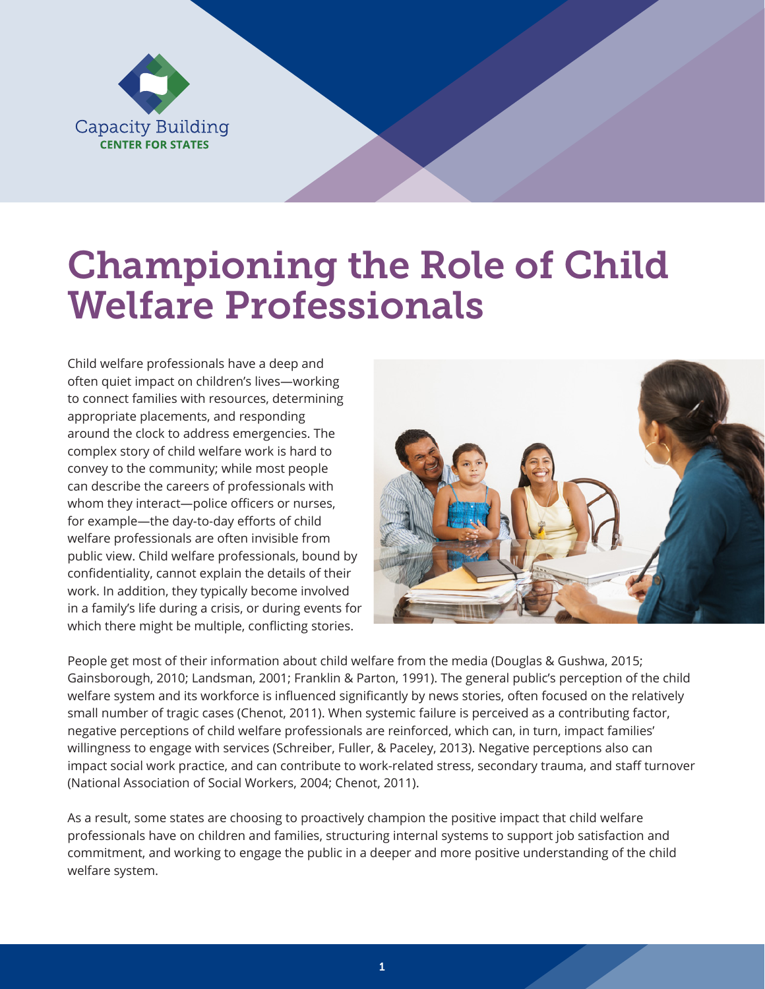

# Championing the Role of Child Welfare Professionals

Child welfare professionals have a deep and often quiet impact on children's lives—working to connect families with resources, determining appropriate placements, and responding around the clock to address emergencies. The complex story of child welfare work is hard to convey to the community; while most people can describe the careers of professionals with whom they interact—police officers or nurses, for example—the day-to-day efforts of child welfare professionals are often invisible from public view. Child welfare professionals, bound by confidentiality, cannot explain the details of their work. In addition, they typically become involved in a family's life during a crisis, or during events for which there might be multiple, conflicting stories.



People get most of their information about child welfare from the media (Douglas & Gushwa, 2015; Gainsborough, 2010; Landsman, 2001; Franklin & Parton, 1991). The general public's perception of the child welfare system and its workforce is influenced significantly by news stories, often focused on the relatively small number of tragic cases (Chenot, 2011). When systemic failure is perceived as a contributing factor, negative perceptions of child welfare professionals are reinforced, which can, in turn, impact families' willingness to engage with services (Schreiber, Fuller, & Paceley, 2013). Negative perceptions also can impact social work practice, and can contribute to work-related stress, secondary trauma, and staff turnover (National Association of Social Workers, 2004; Chenot, 2011).

As a result, some states are choosing to proactively champion the positive impact that child welfare professionals have on children and families, structuring internal systems to support job satisfaction and commitment, and working to engage the public in a deeper and more positive understanding of the child welfare system.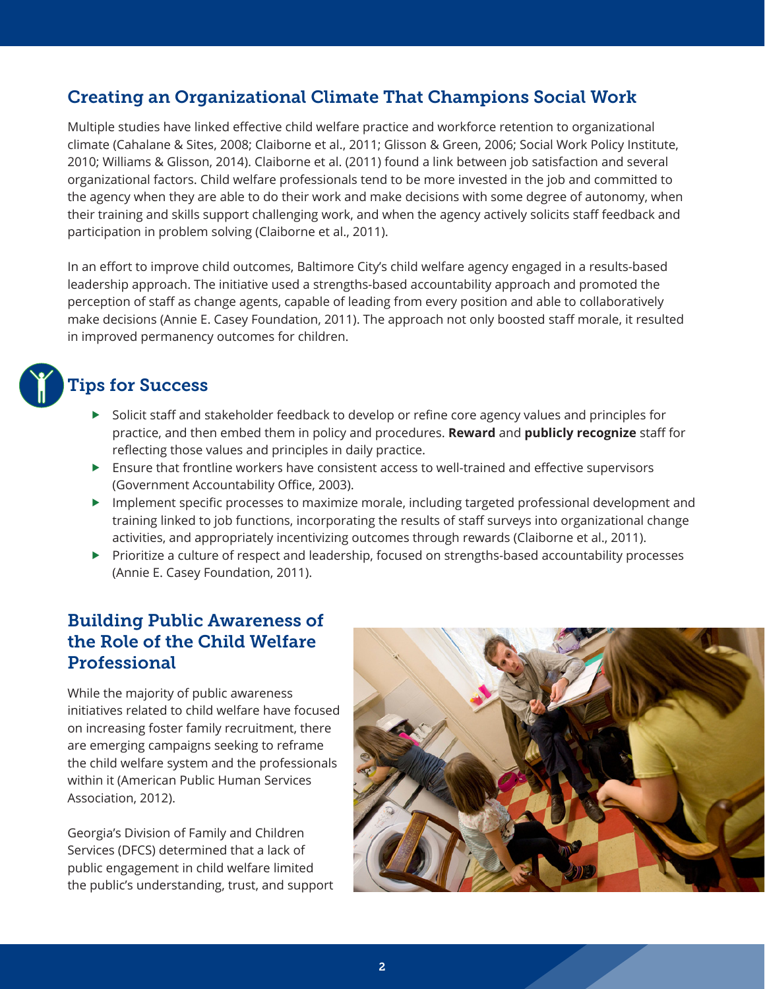# Creating an Organizational Climate That Champions Social Work

Multiple studies have linked effective child welfare practice and workforce retention to organizational climate (Cahalane & Sites, 2008; Claiborne et al., 2011; Glisson & Green, 2006; Social Work Policy Institute, 2010; Williams & Glisson, 2014). Claiborne et al. (2011) found a link between job satisfaction and several organizational factors. Child welfare professionals tend to be more invested in the job and committed to the agency when they are able to do their work and make decisions with some degree of autonomy, when their training and skills support challenging work, and when the agency actively solicits staff feedback and participation in problem solving (Claiborne et al., 2011).

In an effort to improve child outcomes, Baltimore City's child welfare agency engaged in a results-based leadership approach. The initiative used a strengths-based accountability approach and promoted the perception of staff as change agents, capable of leading from every position and able to collaboratively make decisions (Annie E. Casey Foundation, 2011). The approach not only boosted staff morale, it resulted in improved permanency outcomes for children.

# Tips for Success

- $\triangleright$  Solicit staff and stakeholder feedback to develop or refine core agency values and principles for practice, and then embed them in policy and procedures. **Reward** and **publicly recognize** staff for reflecting those values and principles in daily practice.
- Ensure that frontline workers have consistent access to well-trained and effective supervisors (Government Accountability Office, 2003).
- **Implement specific processes to maximize morale, including targeted professional development and** training linked to job functions, incorporating the results of staff surveys into organizational change activities, and appropriately incentivizing outcomes through rewards (Claiborne et al., 2011).
- Prioritize a culture of respect and leadership, focused on strengths-based accountability processes (Annie E. Casey Foundation, 2011).

### Building Public Awareness of the Role of the Child Welfare **Professional**

While the majority of public awareness initiatives related to child welfare have focused on increasing foster family recruitment, there are emerging campaigns seeking to reframe the child welfare system and the professionals within it (American Public Human Services Association, 2012).

Georgia's Division of Family and Children Services (DFCS) determined that a lack of public engagement in child welfare limited the public's understanding, trust, and support

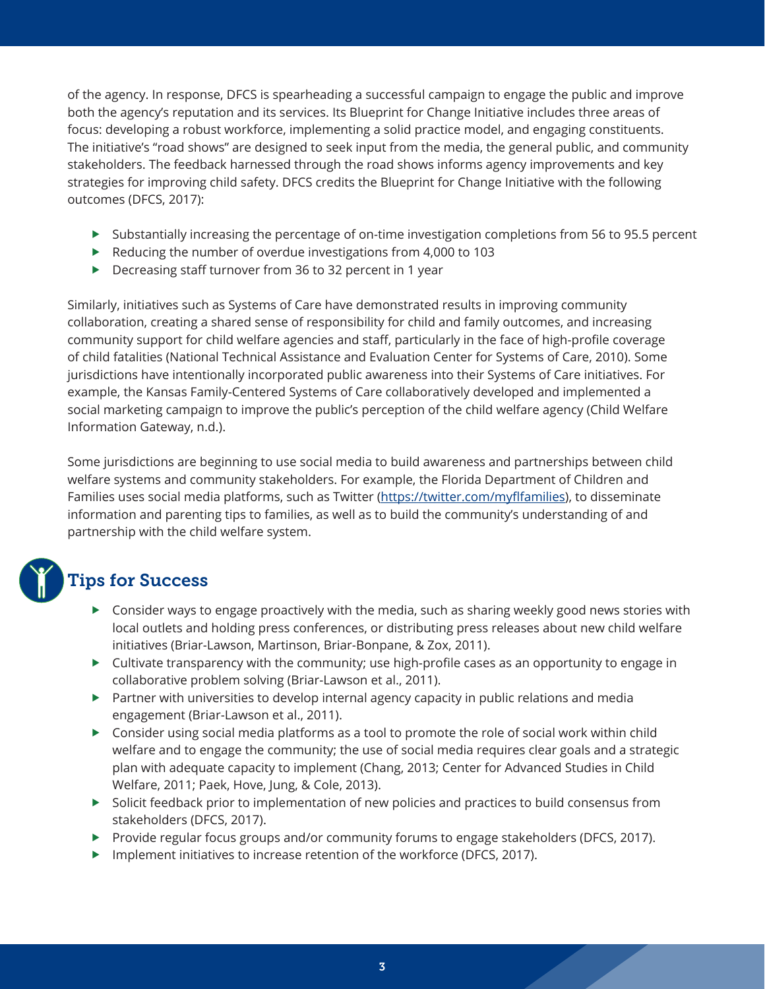of the agency. In response, DFCS is spearheading a successful campaign to engage the public and improve both the agency's reputation and its services. Its Blueprint for Change Initiative includes three areas of focus: developing a robust workforce, implementing a solid practice model, and engaging constituents. The initiative's "road shows" are designed to seek input from the media, the general public, and community stakeholders. The feedback harnessed through the road shows informs agency improvements and key strategies for improving child safety. DFCS credits the Blueprint for Change Initiative with the following outcomes (DFCS, 2017):

- $\triangleright$  Substantially increasing the percentage of on-time investigation completions from 56 to 95.5 percent
- Reducing the number of overdue investigations from 4,000 to 103
- ▶ Decreasing staff turnover from 36 to 32 percent in 1 year

Similarly, initiatives such as Systems of Care have demonstrated results in improving community collaboration, creating a shared sense of responsibility for child and family outcomes, and increasing community support for child welfare agencies and staff, particularly in the face of high-profile coverage of child fatalities (National Technical Assistance and Evaluation Center for Systems of Care, 2010). Some jurisdictions have intentionally incorporated public awareness into their Systems of Care initiatives. For example, the Kansas Family-Centered Systems of Care collaboratively developed and implemented a social marketing campaign to improve the public's perception of the child welfare agency (Child Welfare Information Gateway, n.d.).

Some jurisdictions are beginning to use social media to build awareness and partnerships between child welfare systems and community stakeholders. For example, the Florida Department of Children and Families uses social media platforms, such as Twitter (https://twitter.com/myflfamilies), to disseminate information and parenting tips to families, as well as to build the community's understanding of and partnership with the child welfare system.

# Tips for Success

- Consider ways to engage proactively with the media, such as sharing weekly good news stories with local outlets and holding press conferences, or distributing press releases about new child welfare initiatives (Briar-Lawson, Martinson, Briar-Bonpane, & Zox, 2011).
- $\triangleright$  Cultivate transparency with the community; use high-profile cases as an opportunity to engage in collaborative problem solving (Briar-Lawson et al., 2011).
- $\blacktriangleright$  Partner with universities to develop internal agency capacity in public relations and media engagement (Briar-Lawson et al., 2011).
- $\triangleright$  Consider using social media platforms as a tool to promote the role of social work within child welfare and to engage the community; the use of social media requires clear goals and a strategic plan with adequate capacity to implement (Chang, 2013; Center for Advanced Studies in Child Welfare, 2011; Paek, Hove, Jung, & Cole, 2013).
- Solicit feedback prior to implementation of new policies and practices to build consensus from stakeholders (DFCS, 2017).
- ▶ Provide regular focus groups and/or community forums to engage stakeholders (DFCS, 2017).
- Implement initiatives to increase retention of the workforce (DFCS, 2017).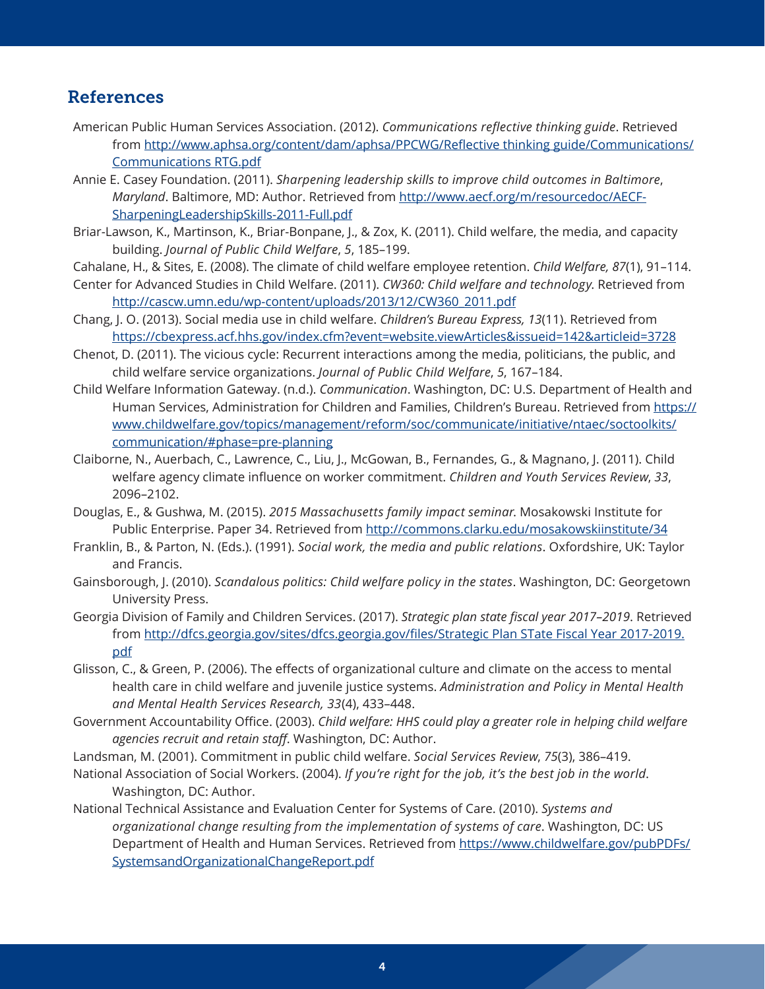#### References

- American Public Human Services Association. (2012). *Communications reflective thinking guide*. Retrieved from [http://www.aphsa.org/content/dam/aphsa/PPCWG/Reflective thinking guide/Communications/](http://www.aphsa.org/content/dam/aphsa/PPCWG/Reflective%20thinking%20guide/Communications/Communications%20RTG.pdf) Communications RTG.pdf
- Annie E. Casey Foundation. (2011). *Sharpening leadership skills to improve child outcomes in Baltimore*, *Maryland*. Baltimore, MD: Author. Retrieved from [http://www.aecf.org/m/resourcedoc/AECF-](http://www.aecf.org/m/resourcedoc/AECF-SharpeningLeadershipSkills-2011-Full.pdf)SharpeningLeadershipSkills-2011-Full.pdf
- Briar-Lawson, K., Martinson, K., Briar-Bonpane, J., & Zox, K. (2011). Child welfare, the media, and capacity building. *Journal of Public Child Welfare*, *5*, 185–199.
- Cahalane, H., & Sites, E. (2008). The climate of child welfare employee retention. *Child Welfare, 87*(1), 91–114.
- Center for Advanced Studies in Child Welfare. (2011). *CW360: Child welfare and technology*. Retrieved from [http://cascw.umn.edu/wp-content/uploads/2013/12/CW360\\_2011.pdf](http://cascw.umn.edu/wp-content/uploads/2013/12/CW360_2011.pdf)
- Chang, J. O. (2013). Social media use in child welfare. *Children's Bureau Express, 13*(11). Retrieved from <https://cbexpress.acf.hhs.gov/index.cfm?event=website.viewArticles&issueid=142&articleid=3728>
- Chenot, D. (2011). The vicious cycle: Recurrent interactions among the media, politicians, the public, and child welfare service organizations. *Journal of Public Child Welfare*, *5*, 167–184.
- Child Welfare Information Gateway. (n.d.). *Communication*. Washington, DC: U.S. Department of Health and Human Services, Administration for Children and Families, Children's Bureau. Retrieved from https:// [www.childwelfare.gov/topics/management/reform/soc/communicate/initiative/ntaec/soctoolkits/](https://www.childwelfare.gov/topics/management/reform/soc/communicate/initiative/ntaec/soctoolkits/communication/%23phase=pre-planning)  communication/#phase=pre-planning
- Claiborne, N., Auerbach, C., Lawrence, C., Liu, J., McGowan, B., Fernandes, G., & Magnano, J. (2011). Child welfare agency climate influence on worker commitment. *Children and Youth Services Review*, *33*, 2096–2102.
- Douglas, E., & Gushwa, M. (2015). *2015 Massachusetts family impact seminar*. Mosakowski Institute for Public Enterprise. Paper 34. Retrieved from<http://commons.clarku.edu/mosakowskiinstitute/34>
- Franklin, B., & Parton, N. (Eds.). (1991). *Social work, the media and public relations*. Oxfordshire, UK: Taylor and Francis.
- Gainsborough, J. (2010). *Scandalous politics: Child welfare policy in the states*. Washington, DC: Georgetown University Press.
- Georgia Division of Family and Children Services. (2017). *Strategic plan state fiscal year 2017–2019*. Retrieved from [http://dfcs.georgia.gov/sites/dfcs.georgia.gov/files/Strategic Plan STate Fiscal Year 2017-2019.](http://dfcs.georgia.gov/sites/dfcs.georgia.gov/files/Strategic%20Plan%20STate%20Fiscal%20Year%202017-2019.pdf) pdf
- Glisson, C., & Green, P. (2006). The effects of organizational culture and climate on the access to mental health care in child welfare and juvenile justice systems. *Administration and Policy in Mental Health and Mental Health Services Research, 33*(4), 433–448.
- Government Accountability Office. (2003). *Child welfare: HHS could play a greater role in helping child welfare agencies recruit and retain staff*. Washington, DC: Author.
- Landsman, M. (2001). Commitment in public child welfare. *Social Services Review*, *75*(3), 386–419.
- National Association of Social Workers. (2004). *If you're right for the job, it's the best job in the world*. Washington, DC: Author.
- National Technical Assistance and Evaluation Center for Systems of Care. (2010). *Systems and organizational change resulting from the implementation of systems of care*. Washington, DC: US Department of Health and Human Services. Retrieved from https://www.childwelfare.gov/pubPDFs/ SystemsandOrganizationalChangeReport.pdf